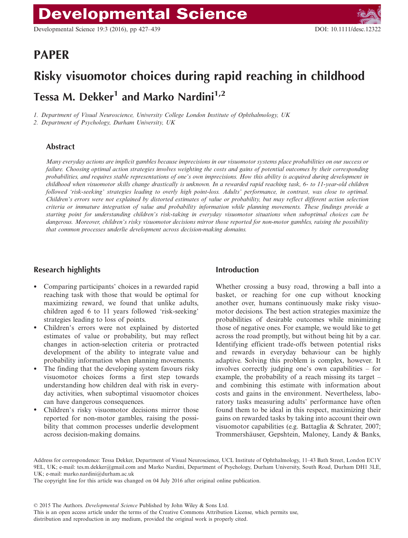Developmental Science 19:3 (2016), pp 427-439 DOI: 10.1111/desc.12322

# PAPER

# Risky visuomotor choices during rapid reaching in childhood Tessa M. Dekker<sup>1</sup> and Marko Nardini<sup>1,2</sup>

1. Department of Visual Neuroscience, University College London Institute of Ophthalmology, UK

2. Department of Psychology, Durham University, UK

# Abstract

Many everyday actions are implicit gambles because imprecisions in our visuomotor systems place probabilities on our success or failure. Choosing optimal action strategies involves weighting the costs and gains of potential outcomes by their corresponding probabilities, and requires stable representations of one's own imprecisions. How this ability is acquired during development in childhood when visuomotor skills change drastically is unknown. In a rewarded rapid reaching task, 6- to 11-year-old children followed 'risk-seeking' strategies leading to overly high point-loss. Adults' performance, in contrast, was close to optimal. Children's errors were not explained by distorted estimates of value or probability, but may reflect different action selection criteria or immature integration of value and probability information while planning movements. These findings provide a starting point for understanding children's risk-taking in everyday visuomotor situations when suboptimal choices can be dangerous. Moreover, children's risky visuomotor decisions mirror those reported for non-motor gambles, raising the possibility that common processes underlie development across decision-making domains.

# Research highlights

- Comparing participants' choices in a rewarded rapid reaching task with those that would be optimal for maximizing reward, we found that unlike adults, children aged 6 to 11 years followed 'risk-seeking' strategies leading to loss of points.
- Children's errors were not explained by distorted estimates of value or probability, but may reflect changes in action-selection criteria or protracted development of the ability to integrate value and probability information when planning movements.
- The finding that the developing system favours risky visuomotor choices forms a first step towards understanding how children deal with risk in everyday activities, when suboptimal visuomotor choices can have dangerous consequences.
- Children's risky visuomotor decisions mirror those reported for non-motor gambles, raising the possibility that common processes underlie development across decision-making domains.

# Introduction

Whether crossing a busy road, throwing a ball into a basket, or reaching for one cup without knocking another over, humans continuously make risky visuomotor decisions. The best action strategies maximize the probabilities of desirable outcomes while minimizing those of negative ones. For example, we would like to get across the road promptly, but without being hit by a car. Identifying efficient trade-offs between potential risks and rewards in everyday behaviour can be highly adaptive. Solving this problem is complex, however. It involves correctly judging one's own capabilities – for example, the probability of a reach missing its target – and combining this estimate with information about costs and gains in the environment. Nevertheless, laboratory tasks measuring adults' performance have often found them to be ideal in this respect, maximizing their gains on rewarded tasks by taking into account their own visuomotor capabilities (e.g. Battaglia & Schrater, 2007; Trommershäuser, Gepshtein, Maloney, Landy & Banks,

The copyright line for this article was changed on 04 July 2016 after original online publication.

This is an open access article under the terms of the [Creative Commons Attribution](http://creativecommons.org/licenses/by/4.0/) License, which permits use,

distribution and reproduction in any medium, provided the original work is properly cited.

Address for correspondence: Tessa Dekker, Department of Visual Neuroscience, UCL Institute of Ophthalmology, 11–43 Bath Street, London EC1V 9EL, UK; e-mail: tes.m.dekker@gmail.com and Marko Nardini, Department of Psychology, Durham University, South Road, Durham DH1 3LE, UK; e-mail: marko.nardini@durham.ac.uk

<sup>©</sup> 2015 The Authors. Developmental Science Published by John Wiley & Sons Ltd.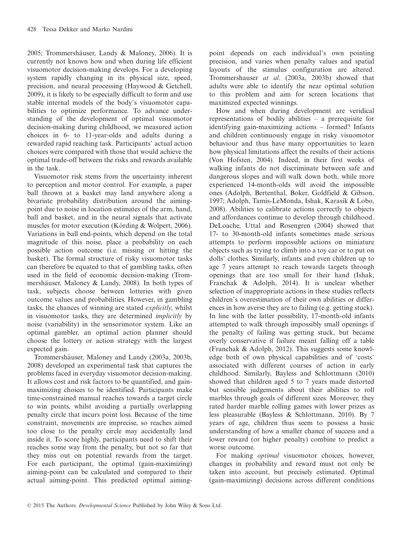2005; Trommershäuser, Landy & Maloney, 2006). It is currently not known how and when during life efficient visuomotor decision-making develops. For a developing system rapidly changing in its physical size, speed, precision, and neural processing (Haywood & Getchell, 2009), it is likely to be especially difficult to form and use stable internal models of the body's visuomotor capabilities to optimize performance. To advance understanding of the development of optimal visuomotor decision-making during childhood, we measured action choices in 6- to 11-year-olds and adults during a rewarded rapid reaching task. Participants' actual action choices were compared with those that would achieve the optimal trade-off between the risks and rewards available in the task.

Visuomotor risk stems from the uncertainty inherent to perception and motor control. For example, a paper ball thrown at a basket may land anywhere along a bivariate probability distribution around the aimingpoint due to noise in location estimates of the arm, hand, ball and basket, and in the neural signals that activate muscles for motor execution (Körding  $&$  Wolpert, 2006). Variations in ball end-points, which depend on the total magnitude of this noise, place a probability on each possible action outcome (i.e. missing or hitting the basket). The formal structure of risky visuomotor tasks can therefore be equated to that of gambling tasks, often used in the field of economic decision-making (Trommershäuser, Maloney & Landy, 2008). In both types of task, subjects choose between lotteries with given outcome values and probabilities. However, in gambling tasks, the chances of winning are stated explicitly, whilst in visuomotor tasks, they are determined *implicitly* by noise (variability) in the sensorimotor system. Like an optimal gambler, an optimal action planner should choose the lottery or action strategy with the largest expected gain.

Trommershäuser, Maloney and Landy (2003a, 2003b, 2008) developed an experimental task that captures the problems faced in everyday visuomotor decision-making. It allows cost and risk factors to be quantified, and gainmaximizing choices to be identified. Participants make time-constrained manual reaches towards a target circle to win points, whilst avoiding a partially overlapping penalty circle that incurs point loss. Because of the time constraint, movements are imprecise, so reaches aimed too close to the penalty circle may accidentally land inside it. To score highly, participants need to shift their reaches some way from the penalty, but not so far that they miss out on potential rewards from the target. For each participant, the optimal (gain-maximizing) aiming-point can be calculated and compared to their actual aiming-point. This predicted optimal aimingpoint depends on each individual's own pointing precision, and varies when penalty values and spatial layouts of the stimulus configuration are altered. Trommershauser at al. (2003a, 2003b) showed that adults were able to identify the near optimal solution to this problem and aim for screen locations that maximized expected winnings.

How and when during development are veridical representations of bodily abilities – a prerequisite for identifying gain-maximizing actions – formed? Infants and children continuously engage in risky visuomotor behaviour and thus have many opportunities to learn how physical limitations affect the results of their actions (Von Hofsten, 2004). Indeed, in their first weeks of walking infants do not discriminate between safe and dangerous slopes and will walk down both, while more experienced 14-month-olds will avoid the impossible ones (Adolph, Bertenthal, Boker, Goldfield & Gibson, 1997; Adolph, Tamis-LeMonda, Ishak, Karasik & Lobo, 2008). Abilities to calibrate actions correctly to objects and affordances continue to develop through childhood. DeLoache, Uttal and Rosengren (2004) showed that 17- to 30-month-old infants sometimes made serious attempts to perform impossible actions on miniature objects such as trying to climb into a toy car or to put on dolls' clothes. Similarly, infants and even children up to age 7 years attempt to reach towards targets through openings that are too small for their hand (Ishak, Franchak & Adolph, 2014). It is unclear whether selection of inappropriate actions in these studies reflects children's overestimation of their own abilities or differences in how averse they are to failing (e.g. getting stuck). In line with the latter possibility, 17-month-old infants attempted to walk through impossibly small openings if the penalty of failing was getting stuck, but became overly conservative if failure meant falling off a table (Franchak & Adolph, 2012). This suggests some knowledge both of own physical capabilities and of 'costs' associated with different courses of action in early childhood. Similarly, Bayless and Schlottmann (2010) showed that children aged 5 to 7 years made distorted but sensible judgements about their abilities to roll marbles through goals of different sizes. Moreover, they rated harder marble rolling games with lower prizes as less pleasurable (Bayless & Schlottmann, 2010). By 7 years of age, children thus seem to possess a basic understanding of how a smaller chance of success and a lower reward (or higher penalty) combine to predict a worse outcome.

For making *optimal* visuomotor choices, however, changes in probability and reward must not only be taken into account, but precisely estimated. Optimal (gain-maximizing) decisions across different conditions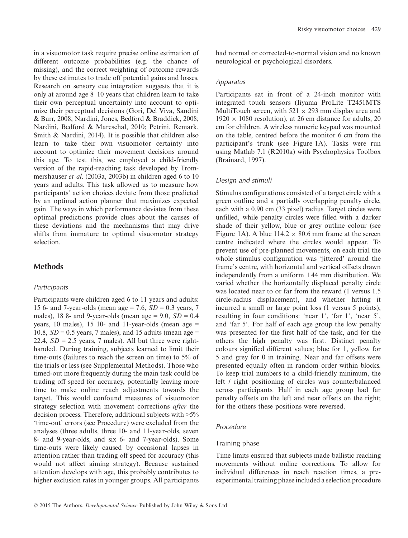in a visuomotor task require precise online estimation of different outcome probabilities (e.g. the chance of missing), and the correct weighting of outcome rewards by these estimates to trade off potential gains and losses. Research on sensory cue integration suggests that it is only at around age 8–10 years that children learn to take their own perceptual uncertainty into account to optimize their perceptual decisions (Gori, Del Viva, Sandini & Burr, 2008; Nardini, Jones, Bedford & Braddick, 2008; Nardini, Bedford & Mareschal, 2010; Petrini, Remark, Smith & Nardini, 2014). It is possible that children also learn to take their own visuomotor certainty into account to optimize their movement decisions around this age. To test this, we employed a child-friendly version of the rapid-reaching task developed by Trommershauser et al. (2003a, 2003b) in children aged 6 to 10 years and adults. This task allowed us to measure how participants' action choices deviate from those predicted by an optimal action planner that maximizes expected gain. The ways in which performance deviates from these optimal predictions provide clues about the causes of these deviations and the mechanisms that may drive shifts from immature to optimal visuomotor strategy selection.

# **Methods**

# **Participants**

Participants were children aged 6 to 11 years and adults: 15 6- and 7-year-olds (mean age = 7.6,  $SD = 0.3$  years, 7 males), 18 8- and 9-year-olds (mean age =  $9.0$ ,  $SD = 0.4$ years, 10 males), 15 10- and 11-year-olds (mean age  $=$ 10.8,  $SD = 0.5$  years, 7 males), and 15 adults (mean age = 22.4,  $SD = 2.5$  years, 7 males). All but three were righthanded. During training, subjects learned to limit their time-outs (failures to reach the screen on time) to 5% of the trials or less (see Supplemental Methods). Those who timed-out more frequently during the main task could be trading off speed for accuracy, potentially leaving more time to make online reach adjustments towards the target. This would confound measures of visuomotor strategy selection with movement corrections *after* the decision process. Therefore, additional subjects with >5% 'time-out' errors (see Procedure) were excluded from the analyses (three adults, three 10- and 11-year-olds, seven 8- and 9-year-olds, and six 6- and 7-year-olds). Some time-outs were likely caused by occasional lapses in attention rather than trading off speed for accuracy (this would not affect aiming strategy). Because sustained attention develops with age, this probably contributes to higher exclusion rates in younger groups. All participants had normal or corrected-to-normal vision and no known neurological or psychological disorders.

# Apparatus

Participants sat in front of a 24-inch monitor with integrated touch sensors (Iiyama ProLite T2451MTS MultiTouch screen, with  $521 \times 293$  mm display area and  $1920 \times 1080$  resolution), at 26 cm distance for adults, 20 cm for children. A wireless numeric keypad was mounted on the table, centred before the monitor 6 cm from the participant's trunk (see Figure 1A). Tasks were run using Matlab 7.1 (R2010a) with Psychophysics Toolbox (Brainard, 1997).

#### Design and stimuli

Stimulus configurations consisted of a target circle with a green outline and a partially overlapping penalty circle, each with a 0.90 cm (33 pixel) radius. Target circles were unfilled, while penalty circles were filled with a darker shade of their yellow, blue or grey outline colour (see Figure 1A). A blue  $114.2 \times 80.6$  mm frame at the screen centre indicated where the circles would appear. To prevent use of pre-planned movements, on each trial the whole stimulus configuration was 'jittered' around the frame's centre, with horizontal and vertical offsets drawn independently from a uniform  $\pm 44$  mm distribution. We varied whether the horizontally displaced penalty circle was located near to or far from the reward (1 versus 1.5 circle-radius displacement), and whether hitting it incurred a small or large point loss (1 versus 5 points), resulting in four conditions: 'near 1', 'far 1', 'near 5', and 'far 5'. For half of each age group the low penalty was presented for the first half of the task, and for the others the high penalty was first. Distinct penalty colours signified different values; blue for 1, yellow for 5 and grey for 0 in training. Near and far offsets were presented equally often in random order within blocks. To keep trial numbers to a child-friendly minimum, the left / right positioning of circles was counterbalanced across participants. Half in each age group had far penalty offsets on the left and near offsets on the right; for the others these positions were reversed.

### Procedure

#### Training phase

Time limits ensured that subjects made ballistic reaching movements without online corrections. To allow for individual differences in reach reaction times, a preexperimental training phase included a selection procedure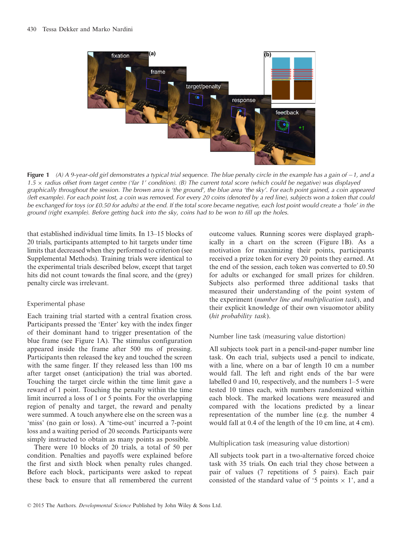

Figure 1 (A) A 9-year-old girl demonstrates a typical trial sequence. The blue penalty circle in the example has a gain of  $-1$ , and a 1.5  $\times$  radius offset from target centre ('far 1' condition). (B) The current total score (which could be negative) was displayed graphically throughout the session. The brown area is 'the ground', the blue area 'the sky'. For each point gained, a coin appeared (left example). For each point lost, a coin was removed. For every 20 coins (denoted by a red line), subjects won a token that could be exchanged for toys (or £0.50 for adults) at the end. If the total score became negative, each lost point would create a 'hole' in the ground (right example). Before getting back into the sky, coins had to be won to fill up the holes.

that established individual time limits. In 13–15 blocks of 20 trials, participants attempted to hit targets under time limits that decreased when they performed to criterion (see Supplemental Methods). Training trials were identical to the experimental trials described below, except that target hits did not count towards the final score, and the (grey) penalty circle was irrelevant.

# Experimental phase

Each training trial started with a central fixation cross. Participants pressed the 'Enter' key with the index finger of their dominant hand to trigger presentation of the blue frame (see Figure 1A). The stimulus configuration appeared inside the frame after 500 ms of pressing. Participants then released the key and touched the screen with the same finger. If they released less than 100 ms after target onset (anticipation) the trial was aborted. Touching the target circle within the time limit gave a reward of 1 point. Touching the penalty within the time limit incurred a loss of 1 or 5 points. For the overlapping region of penalty and target, the reward and penalty were summed. A touch anywhere else on the screen was a 'miss' (no gain or loss). A 'time-out' incurred a 7-point loss and a waiting period of 20 seconds. Participants were simply instructed to obtain as many points as possible.

There were 10 blocks of 20 trials, a total of 50 per condition. Penalties and payoffs were explained before the first and sixth block when penalty rules changed. Before each block, participants were asked to repeat these back to ensure that all remembered the current

outcome values. Running scores were displayed graphically in a chart on the screen (Figure 1B). As a motivation for maximizing their points, participants received a prize token for every 20 points they earned. At the end of the session, each token was converted to £0.50 for adults or exchanged for small prizes for children. Subjects also performed three additional tasks that measured their understanding of the point system of the experiment (number line and multiplication task), and their explicit knowledge of their own visuomotor ability (hit probability task).

# Number line task (measuring value distortion)

All subjects took part in a pencil-and-paper number line task. On each trial, subjects used a pencil to indicate, with a line, where on a bar of length 10 cm a number would fall. The left and right ends of the bar were labelled 0 and 10, respectively, and the numbers 1–5 were tested 10 times each, with numbers randomized within each block. The marked locations were measured and compared with the locations predicted by a linear representation of the number line (e.g. the number 4 would fall at 0.4 of the length of the 10 cm line, at 4 cm).

#### Multiplication task (measuring value distortion)

All subjects took part in a two-alternative forced choice task with 35 trials. On each trial they chose between a pair of values (7 repetitions of 5 pairs). Each pair consisted of the standard value of '5 points  $\times$  1', and a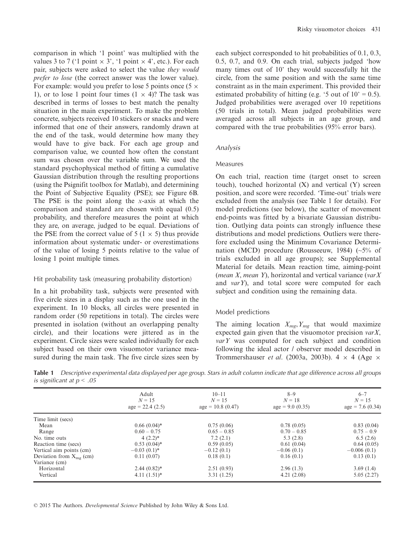comparison in which '1 point' was multiplied with the values 3 to 7 ('1 point  $\times$  3', '1 point  $\times$  4', etc.). For each pair, subjects were asked to select the value they would prefer to lose (the correct answer was the lower value). For example: would you prefer to lose 5 points once  $(5 \times 1)$ 1), or to lose 1 point four times  $(1 \times 4)$ ? The task was described in terms of losses to best match the penalty situation in the main experiment. To make the problem concrete, subjects received 10 stickers or snacks and were informed that one of their answers, randomly drawn at the end of the task, would determine how many they would have to give back. For each age group and comparison value, we counted how often the constant sum was chosen over the variable sum. We used the standard psychophysical method of fitting a cumulative Gaussian distribution through the resulting proportions (using the Psignifit toolbox for Matlab), and determining the Point of Subjective Equality (PSE); see Figure 6B. The PSE is the point along the  $x$ -axis at which the comparison and standard are chosen with equal (0.5) probability, and therefore measures the point at which they are, on average, judged to be equal. Deviations of the PSE from the correct value of  $5 (1 \times 5)$  thus provide information about systematic under- or overestimations of the value of losing 5 points relative to the value of losing 1 point multiple times.

# Hit probability task (measuring probability distortion)

In a hit probability task, subjects were presented with five circle sizes in a display such as the one used in the experiment. In 10 blocks, all circles were presented in random order (50 repetitions in total). The circles were presented in isolation (without an overlapping penalty circle), and their locations were jittered as in the experiment. Circle sizes were scaled individually for each subject based on their own visuomotor variance measured during the main task. The five circle sizes seen by each subject corresponded to hit probabilities of 0.1, 0.3, 0.5, 0.7, and 0.9. On each trial, subjects judged 'how many times out of 10' they would successfully hit the circle, from the same position and with the same time constraint as in the main experiment. This provided their estimated probability of hitting (e.g. '5 out of  $10' = 0.5$ ). Judged probabilities were averaged over 10 repetitions (50 trials in total). Mean judged probabilities were averaged across all subjects in an age group, and compared with the true probabilities (95% error bars).

# Analysis

# Measures

On each trial, reaction time (target onset to screen touch), touched horizontal (X) and vertical (Y) screen position, and score were recorded. 'Time-out' trials were excluded from the analysis (see Table 1 for details). For model predictions (see below), the scatter of movement end-points was fitted by a bivariate Gaussian distribution. Outlying data points can strongly influence these distributions and model predictions. Outliers were therefore excluded using the Minimum Covariance Determination (MCD) procedure (Rousseeuw, 1984)  $(\sim 5\%$  of trials excluded in all age groups); see Supplemental Material for details. Mean reaction time, aiming-point (mean  $X$ , mean  $Y$ ), horizontal and vertical variance (var $X$ and varY), and total score were computed for each subject and condition using the remaining data.

# Model predictions

The aiming location  $X_{mg}$ ,  $Y_{mg}$  that would maximize expected gain given that the visuomotor precision  $varX$ ,  $varY$  was computed for each subject and condition following the ideal actor / observer model described in Trommershauser *et al.* (2003a, 2003b).  $4 \times 4$  (Age  $\times$ 

Table 1 Descriptive experimental data displayed per age group. Stars in adult column indicate that age difference across all groups is significant at  $p < .05$ 

|                              | Adult<br>$N = 15$<br>$age = 22.4 (2.5)$ | $10 - 11$<br>$N = 15$<br>$age = 10.8(0.47)$ | $8 - 9$<br>$N=18$<br>$age = 9.0 (0.35)$ | $6 - 7$<br>$N = 15$<br>$age = 7.6(0.34)$ |
|------------------------------|-----------------------------------------|---------------------------------------------|-----------------------------------------|------------------------------------------|
|                              |                                         |                                             |                                         |                                          |
| Time limit (secs)            |                                         |                                             |                                         |                                          |
| Mean                         | $0.66(0.04)$ *                          | 0.75(0.06)                                  | 0.78(0.05)                              | 0.83(0.04)                               |
| Range                        | $0.60 - 0.75$                           | $0.65 - 0.85$                               | $0.70 - 0.85$                           | $0.75 - 0.9$                             |
| No. time outs                | $4(2.2)$ *                              | 7.2(2.1)                                    | 5.3(2.8)                                | 6.5(2.6)                                 |
| Reaction time (secs)         | $0.53(0.04)^*$                          | 0.59(0.05)                                  | 0.61(0.04)                              | 0.64(0.05)                               |
| Vertical aim points (cm)     | $-0.03(0.1)$ *                          | $-0.12(0.1)$                                | $-0.06(0.1)$                            | $-0.006(0.1)$                            |
| Deviation from $X_{mg}$ (cm) | 0.11(0.07)                              | 0.18(0.1)                                   | 0.16(0.1)                               | 0.13(0.1)                                |
| Variance (cm)                |                                         |                                             |                                         |                                          |
| Horizontal                   | $2.44(0.82)$ *                          | 2.51(0.93)                                  | 2.96(1.3)                               | 3.69(1.4)                                |
| Vertical                     | $4.11(1.51)*$                           | 3.31(1.25)                                  | 4.21(2.08)                              | 5.05(2.27)                               |

© 2015 The Authors. Developmental Science Published by John Wiley & Sons Ltd.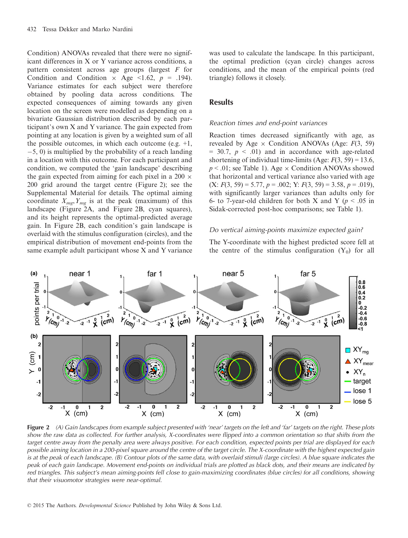Condition) ANOVAs revealed that there were no significant differences in X or Y variance across conditions, a pattern consistent across age groups (largest  $F$  for Condition and Condition  $\times$  Age <1.62,  $p = .194$ ). Variance estimates for each subject were therefore obtained by pooling data across conditions. The expected consequences of aiming towards any given location on the screen were modelled as depending on a bivariate Gaussian distribution described by each participant's own X and Y variance. The gain expected from pointing at any location is given by a weighted sum of all the possible outcomes, in which each outcome (e.g.  $+1$ ,  $-5$ , 0) is multiplied by the probability of a reach landing in a location with this outcome. For each participant and condition, we computed the 'gain landscape' describing the gain expected from aiming for each pixel in a 200  $\times$ 200 grid around the target centre (Figure 2); see the Supplemental Material for details. The optimal aiming coordinate  $X_{mg}$ ,  $Y_{mg}$  is at the peak (maximum) of this landscape (Figure 2A, and Figure 2B, cyan squares), and its height represents the optimal-predicted average gain. In Figure 2B, each condition's gain landscape is overlaid with the stimulus configuration (circles), and the empirical distribution of movement end-points from the same example adult participant whose X and Y variance was used to calculate the landscape. In this participant, the optimal prediction (cyan circle) changes across conditions, and the mean of the empirical points (red triangle) follows it closely.

# **Results**

## Reaction times and end-point variances

Reaction times decreased significantly with age, as revealed by Age  $\times$  Condition ANOVAs (Age:  $F(3, 59)$ )  $= 30.7, p \leq .01$  and in accordance with age-related shortening of individual time-limits (Age:  $F(3, 59) = 13.6$ ,  $p < .01$ ; see Table 1). Age  $\times$  Condition ANOVAs showed that horizontal and vertical variance also varied with age  $(X: F(3, 59) = 5.77, p = .002; Y: F(3, 59) = 3.58, p = .019$ , with significantly larger variances than adults only for 6- to 7-year-old children for both X and Y ( $p < .05$  in Sidak-corrected post-hoc comparisons; see Table 1).

#### Do vertical aiming-points maximize expected gain?

The Y-coordinate with the highest predicted score fell at the centre of the stimulus configuration  $(Y_0)$  for all



Figure 2 (A) Gain landscapes from example subject presented with 'near' targets on the left and 'far' targets on the right. These plots show the raw data as collected. For further analysis, X-coordinates were flipped into a common orientation so that shifts from the target centre away from the penalty area were always positive. For each condition, expected points per trial are displayed for each possible aiming location in a 200-pixel square around the centre of the target circle. The X-coordinate with the highest expected gain is at the peak of each landscape. (B) Contour plots of the same data, with overlaid stimuli (large circles). A blue square indicates the peak of each gain landscape. Movement end-points on individual trials are plotted as black dots, and their means are indicated by red triangles. This subject's mean aiming-points fell close to gain-maximizing coordinates (blue circles) for all conditions, showing that their visuomotor strategies were near-optimal.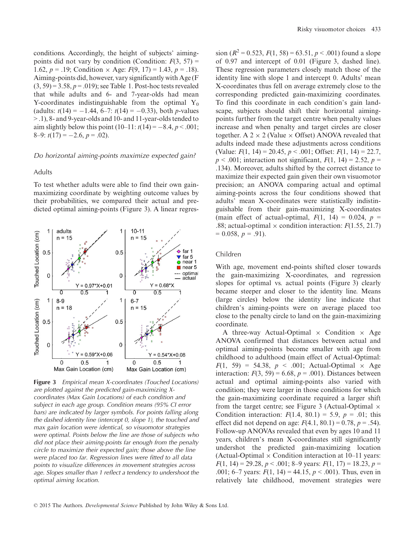conditions. Accordingly, the height of subjects' aimingpoints did not vary by condition (Condition:  $F(3, 57) =$ 1.62,  $p = .19$ ; Condition  $\times$  Age:  $F(9, 17) = 1.43$ ,  $p = .18$ ). Aiming-points did, however, vary significantly with Age (F  $(3, 59) = 3.58, p = .019$ ; see Table 1. Post-hoc tests revealed that while adults and 6- and 7-year-olds had mean Y-coordinates indistinguishable from the optimal  $Y_0$ (adults:  $t(14) = -1.44$ , 6–7:  $t(14) = -0.33$ ), both *p*-values > .1), 8- and 9-year-olds and 10- and 11-year-olds tended to aim slightly below this point  $(10-11: t(14) = -8.4, p < .001;$ 8–9:  $t(17) = -2.6, p = .02$ .

#### Do horizontal aiming-points maximize expected gain?

# Adults

To test whether adults were able to find their own gainmaximizing coordinate by weighting outcome values by their probabilities, we compared their actual and predicted optimal aiming-points (Figure 3). A linear regres-



Figure 3 Empirical mean X-coordinates (Touched Locations) are plotted against the predicted gain-maximizing Xcoordinates (Max Gain Locations) of each condition and subject in each age group. Condition means (95% CI error bars) are indicated by larger symbols. For points falling along the dashed identity line (intercept 0, slope 1), the touched and max gain location were identical, so visuomotor strategies were optimal. Points below the line are those of subjects who did not place their aiming-points far enough from the penalty circle to maximize their expected gain; those above the line were placed too far. Regression lines were fitted to all data points to visualize differences in movement strategies across age. Slopes smaller than 1 reflect a tendency to undershoot the optimal aiming location.

sion ( $R^2 = 0.523$ ,  $F(1, 58) = 63.51$ ,  $p < .001$ ) found a slope of 0.97 and intercept of 0.01 (Figure 3, dashed line). These regression parameters closely match those of the identity line with slope 1 and intercept 0. Adults' mean X-coordinates thus fell on average extremely close to the corresponding predicted gain-maximizing coordinates. To find this coordinate in each condition's gain landscape, subjects should shift their horizontal aimingpoints further from the target centre when penalty values increase and when penalty and target circles are closer together. A  $2 \times 2$  (Value  $\times$  Offset) ANOVA revealed that adults indeed made these adjustments across conditions (Value:  $F(1, 14) = 20.45, p < .001$ ; Offset:  $F(1, 14) = 22.7$ ,  $p < .001$ ; interaction not significant,  $F(1, 14) = 2.52$ ,  $p =$ .134). Moreover, adults shifted by the correct distance to maximize their expected gain given their own visuomotor precision; an ANOVA comparing actual and optimal aiming-points across the four conditions showed that adults' mean X-coordinates were statistically indistinguishable from their gain-maximizing X-coordinates (main effect of actual-optimal,  $F(1, 14) = 0.024$ ,  $p =$ .88; actual-optimal  $\times$  condition interaction:  $F(1.55, 21.7)$  $= 0.058, p = .91$ .

#### Children

With age, movement end-points shifted closer towards the gain-maximizing X-coordinates, and regression slopes for optimal vs. actual points (Figure 3) clearly became steeper and closer to the identity line. Means (large circles) below the identity line indicate that children's aiming-points were on average placed too close to the penalty circle to land on the gain-maximizing coordinate.

A three-way Actual-Optimal  $\times$  Condition  $\times$  Age ANOVA confirmed that distances between actual and optimal aiming-points become smaller with age from childhood to adulthood (main effect of Actual-Optimal:  $F(1, 59) = 54.38$ ,  $p < .001$ ; Actual-Optimal  $\times$  Age interaction:  $F(3, 59) = 6.68$ ,  $p = .001$ ). Distances between actual and optimal aiming-points also varied with condition; they were larger in those conditions for which the gain-maximizing coordinate required a larger shift from the target centre; see Figure 3 (Actual-Optimal  $\times$ Condition interaction:  $F(1.4, 80.1) = 5.9$ ,  $p = .01$ ; this effect did not depend on age:  $F(4.1, 80.1) = 0.78$ ,  $p = .54$ ). Follow-up ANOVAs revealed that even by ages 10 and 11 years, children's mean X-coordinates still significantly undershot the predicted gain-maximizing location (Actual-Optimal  $\times$  Condition interaction at 10–11 years:  $F(1, 14) = 29.28, p < .001; 8–9$  years:  $F(1, 17) = 18.23, p =$ .001; 6–7 years:  $F(1, 14) = 44.15, p < .001$ ). Thus, even in relatively late childhood, movement strategies were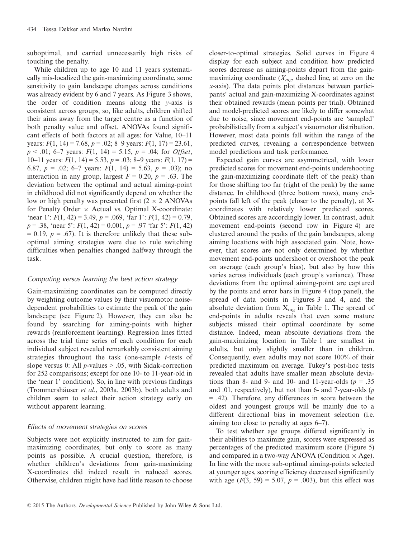suboptimal, and carried unnecessarily high risks of touching the penalty.

While children up to age 10 and 11 years systematically mis-localized the gain-maximizing coordinate, some sensitivity to gain landscape changes across conditions was already evident by 6 and 7 years. As Figure 3 shows, the order of condition means along the  $y$ -axis is consistent across groups, so, like adults, children shifted their aims away from the target centre as a function of both penalty value and offset. ANOVAs found significant effects of both factors at all ages: for Value, 10–11 years:  $F(1, 14) = 7.68$ ,  $p = .02$ ; 8–9 years:  $F(1, 17) = 23.61$ ,  $p < .01$ ; 6–7 years:  $F(1, 14) = 5.15$ ,  $p = .04$ ; for *Offset*, 10–11 years:  $F(1, 14) = 5.53$ ,  $p = .03$ ; 8–9 years:  $F(1, 17) =$ 6.87,  $p = .02$ ; 6–7 years:  $F(1, 14) = 5.63$ ,  $p = .03$ ); no interaction in any group, largest  $F = 0.20$ ,  $p = .63$ . The deviation between the optimal and actual aiming-point in childhood did not significantly depend on whether the low or high penalty was presented first  $(2 \times 2$  ANOVAs for Penalty Order  $\times$  Actual vs. Optimal X-coordinate: 'near 1':  $F(1, 42) = 3.49$ ,  $p = .069$ , 'far 1':  $F(1, 42) = 0.79$ ,  $p = .38$ , 'near 5':  $F(1, 42) = 0.001$ ,  $p = .97$  'far 5':  $F(1, 42)$  $= 0.19$ ,  $p = .67$ ). It is therefore unlikely that these suboptimal aiming strategies were due to rule switching difficulties when penalties changed halfway through the task.

# Computing versus learning the best action strategy

Gain-maximizing coordinates can be computed directly by weighting outcome values by their visuomotor noisedependent probabilities to estimate the peak of the gain landscape (see Figure 2). However, they can also be found by searching for aiming-points with higher rewards (reinforcement learning). Regression lines fitted across the trial time series of each condition for each individual subject revealed remarkably consistent aiming strategies throughout the task (one-sample  $t$ -tests of slope versus 0: All  $p$ -values  $> .05$ , with Sidak-correction for 252 comparisons; except for one 10- to 11-year-old in the 'near 1' condition). So, in line with previous findings (Trommershäuser et al., 2003a, 2003b), both adults and children seem to select their action strategy early on without apparent learning.

# Effects of movement strategies on scores

Subjects were not explicitly instructed to aim for gainmaximizing coordinates, but only to score as many points as possible. A crucial question, therefore, is whether children's deviations from gain-maximizing X-coordinates did indeed result in reduced scores. Otherwise, children might have had little reason to choose

closer-to-optimal strategies. Solid curves in Figure 4 display for each subject and condition how predicted scores decrease as aiming-points depart from the gainmaximizing coordinate  $(X_{mg}, \text{dashed line}, \text{at zero on the})$ x-axis). The data points plot distances between participants' actual and gain-maximizing X-coordinates against their obtained rewards (mean points per trial). Obtained and model-predicted scores are likely to differ somewhat due to noise, since movement end-points are 'sampled' probabilistically from a subject's visuomotor distribution. However, most data points fall within the range of the predicted curves, revealing a correspondence between model predictions and task performance.

Expected gain curves are asymmetrical, with lower predicted scores for movement end-points undershooting the gain-maximizing coordinate (left of the peak) than for those shifting too far (right of the peak) by the same distance. In childhood (three bottom rows), many endpoints fall left of the peak (closer to the penalty), at Xcoordinates with relatively lower predicted scores. Obtained scores are accordingly lower. In contrast, adult movement end-points (second row in Figure 4) are clustered around the peaks of the gain landscapes, along aiming locations with high associated gain. Note, however, that scores are not only determined by whether movement end-points undershoot or overshoot the peak on average (each group's bias), but also by how this varies across individuals (each group's variance). These deviations from the optimal aiming-point are captured by the points and error bars in Figure 4 (top panel), the spread of data points in Figures 3 and 4, and the absolute deviation from  $X_{mg}$  in Table 1. The spread of end-points in adults reveals that even some mature subjects missed their optimal coordinate by some distance. Indeed, mean absolute deviations from the gain-maximizing location in Table 1 are smallest in adults, but only slightly smaller than in children. Consequently, even adults may not score 100% of their predicted maximum on average. Tukey's post-hoc tests revealed that adults have smaller mean absolute deviations than 8- and 9- and 10- and 11-year-olds ( $p = .35$ ) and .01, respectively), but not than 6- and 7-year-olds (p = .42). Therefore, any differences in score between the oldest and youngest groups will be mainly due to a different directional bias in movement selection (i.e. aiming too close to penalty at ages 6–7).

To test whether age groups differed significantly in their abilities to maximize gain, scores were expressed as percentages of the predicted maximum score (Figure 5) and compared in a two-way ANOVA (Condition  $\times$  Age). In line with the more sub-optimal aiming-points selected at younger ages, scoring efficiency decreased significantly with age  $(F(3, 59) = 5.07, p = .003)$ , but this effect was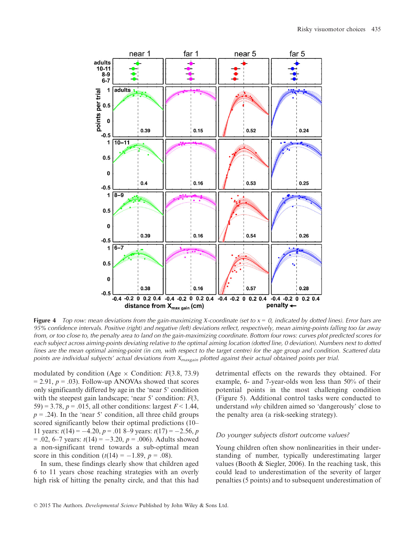

Figure 4 Top row: mean deviations from the gain-maximizing X-coordinate (set to  $x = 0$ , indicated by dotted lines). Error bars are 95% confidence intervals. Positive (right) and negative (left) deviations reflect, respectively, mean aiming-points falling too far away from, or too close to, the penalty area to land on the gain-maximizing coordinate. Bottom four rows: curves plot predicted scores for each subject across aiming-points deviating relative to the optimal aiming location (dotted line, 0 deviation). Numbers next to dotted lines are the mean optimal aiming-point (in cm, with respect to the target centre) for the age group and condition. Scattered data points are individual subjects' actual deviations from  $X_{maxgain}$  plotted against their actual obtained points per trial.

modulated by condition (Age  $\times$  Condition:  $F(3.8, 73.9)$ )  $= 2.91, p = .03$ ). Follow-up ANOVAs showed that scores only significantly differed by age in the 'near 5' condition with the steepest gain landscape; 'near 5' condition:  $F(3)$ , 59) = 3.78,  $p = .015$ , all other conditions: largest  $F < 1.44$ ,  $p = .24$ ). In the 'near 5' condition, all three child groups scored significantly below their optimal predictions (10– 11 years:  $t(14) = -4.20$ ,  $p = .018 - .9$  years:  $t(17) = -2.56$ , p  $= .02, 6 - 7$  years:  $t(14) = -3.20, p = .006$ . Adults showed a non-significant trend towards a sub-optimal mean score in this condition  $(t(14) = -1.89, p = .08)$ .

In sum, these findings clearly show that children aged 6 to 11 years chose reaching strategies with an overly high risk of hitting the penalty circle, and that this had detrimental effects on the rewards they obtained. For example, 6- and 7-year-olds won less than 50% of their potential points in the most challenging condition (Figure 5). Additional control tasks were conducted to understand why children aimed so 'dangerously' close to the penalty area (a risk-seeking strategy).

#### Do younger subjects distort outcome values?

Young children often show nonlinearities in their understanding of number, typically underestimating larger values (Booth  $\&$  Siegler, 2006). In the reaching task, this could lead to underestimation of the severity of larger penalties (5 points) and to subsequent underestimation of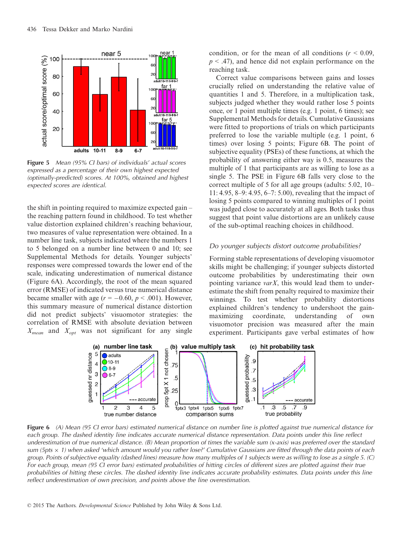

**Figure 5** Mean (95% CI bars) of individuals' actual scores expressed as a percentage of their own highest expected (optimally-predicted) scores. At 100%, obtained and highest expected scores are identical.

the shift in pointing required to maximize expected gain – the reaching pattern found in childhood. To test whether value distortion explained children's reaching behaviour, two measures of value representation were obtained. In a number line task, subjects indicated where the numbers 1 to 5 belonged on a number line between 0 and 10; see Supplemental Methods for details. Younger subjects' responses were compressed towards the lower end of the scale, indicating underestimation of numerical distance (Figure 6A). Accordingly, the root of the mean squared error (RMSE) of indicated versus true numerical distance became smaller with age  $(r = -0.60, p < .001)$ . However, this summary measure of numerical distance distortion did not predict subjects' visuomotor strategies: the correlation of RMSE with absolute deviation between  $X_{mean}$  and  $X_{opt}$  was not significant for any single

condition, or for the mean of all conditions ( $r < 0.09$ ,  $p < .47$ ), and hence did not explain performance on the reaching task.

Correct value comparisons between gains and losses crucially relied on understanding the relative value of quantities 1 and 5. Therefore, in a multiplication task, subjects judged whether they would rather lose 5 points once, or 1 point multiple times (e.g. 1 point, 6 times); see Supplemental Methods for details. Cumulative Gaussians were fitted to proportions of trials on which participants preferred to lose the variable multiple (e.g. 1 point, 6 times) over losing 5 points; Figure 6B. The point of subjective equality (PSEs) of these functions, at which the probability of answering either way is 0.5, measures the multiple of 1 that participants are as willing to lose as a single 5. The PSE in Figure 6B falls very close to the correct multiple of 5 for all age groups (adults: 5.02, 10– 11: 4.95, 8–9: 4.95, 6–7: 5.00), revealing that the impact of losing 5 points compared to winning multiples of 1 point was judged close to accurately at all ages. Both tasks thus suggest that point value distortions are an unlikely cause of the sub-optimal reaching choices in childhood.

### Do younger subjects distort outcome probabilities?

Forming stable representations of developing visuomotor skills might be challenging; if younger subjects distorted outcome probabilities by underestimating their own pointing variance *varX*, this would lead them to underestimate the shift from penalty required to maximize their winnings. To test whether probability distortions explained children's tendency to undershoot the gainmaximizing coordinate, understanding of own visuomotor precision was measured after the main experiment. Participants gave verbal estimates of how



Figure 6 (A) Mean (95 CI error bars) estimated numerical distance on number line is plotted against true numerical distance for each group. The dashed identity line indicates accurate numerical distance representation. Data points under this line reflect underestimation of true numerical distance. (B) Mean proportion of times the variable sum (x-axis) was preferred over the standard sum (5pts  $\times$  1) when asked 'which amount would you rather lose?' Cumulative Gaussians are fitted through the data points of each group. Points of subjective equality (dashed lines) measure how many multiples of 1 subjects were as willing to lose as a single 5. (C) For each group, mean (95 CI error bars) estimated probabilities of hitting circles of different sizes are plotted against their true probabilities of hitting these circles. The dashed identity line indicates accurate probability estimates. Data points under this line reflect underestimation of own precision, and points above the line overestimation.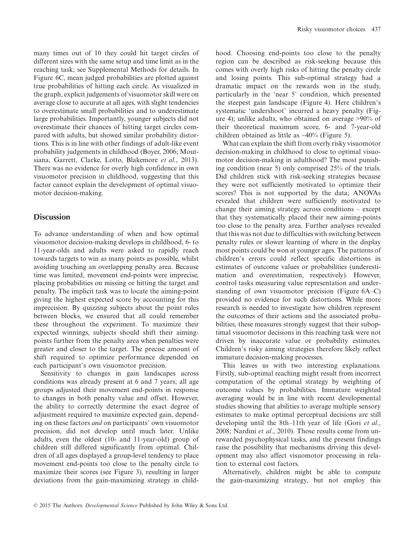many times out of 10 they could hit target circles of different sizes with the same setup and time limit as in the reaching task; see Supplemental Methods for details. In Figure 6C, mean judged probabilities are plotted against true probabilities of hitting each circle. As visualized in the graph, explicit judgements of visuomotor skill were on average close to accurate at all ages, with slight tendencies to overestimate small probabilities and to underestimate large probabilities. Importantly, younger subjects did not overestimate their chances of hitting target circles compared with adults, but showed similar probability distortions. This is in line with other findings of adult-like event probability judgements in childhood (Boyer, 2006; Moutsiana, Garrett, Clarke, Lotto, Blakemore et al., 2013). There was no evidence for overly high confidence in own visuomotor precision in childhood, suggesting that this factor cannot explain the development of optimal visuomotor decision-making.

# **Discussion**

To advance understanding of when and how optimal visuomotor decision-making develops in childhood, 6- to 11-year-olds and adults were asked to rapidly reach towards targets to win as many points as possible, whilst avoiding touching an overlapping penalty area. Because time was limited, movement end-points were imprecise, placing probabilities on missing or hitting the target and penalty. The implicit task was to locate the aiming-point giving the highest expected score by accounting for this imprecision. By quizzing subjects about the point rules between blocks, we ensured that all could remember these throughout the experiment. To maximize their expected winnings, subjects should shift their aimingpoints further from the penalty area when penalties were greater and closer to the target. The precise amount of shift required to optimize performance depended on each participant's own visuomotor precision.

Sensitivity to changes in gain landscapes across conditions was already present at 6 and 7 years; all age groups adjusted their movement end-points in response to changes in both penalty value and offset. However, the ability to correctly determine the exact degree of adjustment required to maximize expected gain, depending on these factors and on participants' own visuomotor precision, did not develop until much later. Unlike adults, even the oldest (10- and 11-year-old) group of children still differed significantly from optimal. Children of all ages displayed a group-level tendency to place movement end-points too close to the penalty circle to maximize their scores (see Figure 3), resulting in larger deviations from the gain-maximizing strategy in childhood. Choosing end-points too close to the penalty region can be described as risk-seeking because this comes with overly high risks of hitting the penalty circle and losing points. This sub-optimal strategy had a dramatic impact on the rewards won in the study, particularly in the 'near 5' condition, which presented the steepest gain landscape (Figure 4). Here children's systematic 'undershoot' incurred a heavy penalty (Figure 4); unlike adults, who obtained on average >90% of their theoretical maximum score, 6- and 7-year-old children obtained as little as  $\sim$ 40% (Figure 5).

What can explain the shift from overly risky visuomotor decision-making in childhood to close to optimal visuomotor decision-making in adulthood? The most punishing condition (near 5) only comprised 25% of the trials. Did children stick with risk-seeking strategies because they were not sufficiently motivated to optimize their scores? This is not supported by the data; ANOVAs revealed that children were sufficiently motivated to change their aiming strategy across conditions – except that they systematically placed their new aiming-points too close to the penalty area. Further analyses revealed that this was not due to difficulties with switching between penalty rules or slower learning of where in the display most points could be won at younger ages. The patterns of children's errors could reflect specific distortions in estimates of outcome values or probabilities (underestimation and overestimation, respectively). However, control tasks measuring value representation and understanding of own visuomotor precision (Figure 6A–C) provided no evidence for such distortions. While more research is needed to investigate how children represent the outcomes of their actions and the associated probabilities, these measures strongly suggest that their suboptimal visuomotor decisions in this reaching task were not driven by inaccurate value or probability estimates. Children's risky aiming strategies therefore likely reflect immature decision-making processes.

This leaves us with two interesting explanations. Firstly, sub-optimal reaching might result from incorrect computation of the optimal strategy by weighting of outcome values by probabilities. Immature weighted averaging would be in line with recent developmental studies showing that abilities to average multiple sensory estimates to make optimal perceptual decisions are still developing until the 8th–11th year of life (Gori *et al.*, 2008; Nardini et al., 2010). Those results come from unrewarded psychophysical tasks, and the present findings raise the possibility that mechanisms driving this development may also affect visuomotor processing in relation to external cost factors.

Alternatively, children might be able to compute the gain-maximizing strategy, but not employ this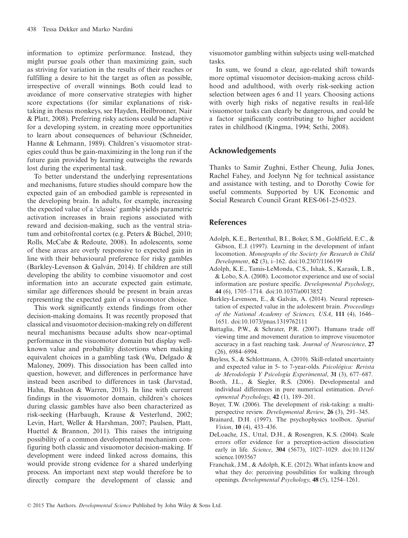information to optimize performance. Instead, they might pursue goals other than maximizing gain, such as striving for variation in the results of their reaches or fulfilling a desire to hit the target as often as possible, irrespective of overall winnings. Both could lead to avoidance of more conservative strategies with higher score expectations (for similar explanations of risktaking in rhesus monkeys, see Hayden, Heilbronner, Nair & Platt, 2008). Preferring risky actions could be adaptive for a developing system, in creating more opportunities to learn about consequences of behaviour (Schneider, Hanne & Lehmann, 1989). Children's visuomotor strategies could thus be gain-maximizing in the long run if the future gain provided by learning outweighs the rewards lost during the experimental task.

To better understand the underlying representations and mechanisms, future studies should compare how the expected gain of an embodied gamble is represented in the developing brain. In adults, for example, increasing the expected value of a 'classic' gamble yields parametric activation increases in brain regions associated with reward and decision-making, such as the ventral striatum and orbitofrontal cortex (e.g. Peters & Büchel, 2010; Rolls, McCabe & Redoute, 2008). In adolescents, some of these areas are overly responsive to expected gain in line with their behavioural preference for risky gambles (Barkley-Levenson & Galván, 2014). If children are still developing the ability to combine visuomotor and cost information into an accurate expected gain estimate, similar age differences should be present in brain areas representing the expected gain of a visuomotor choice.

This work significantly extends findings from other decision-making domains. It was recently proposed that classical and visuomotor decision-making rely on different neural mechanisms because adults show near-optimal performance in the visuomotor domain but display wellknown value and probability distortions when making equivalent choices in a gambling task (Wu, Delgado & Maloney, 2009). This dissociation has been called into question, however, and differences in performance have instead been ascribed to differences in task (Jarvstad, Hahn, Rushton & Warren, 2013). In line with current findings in the visuomotor domain, children's choices during classic gambles have also been characterized as risk-seeking (Harbaugh, Krause & Vesterlund, 2002; Levin, Hart, Weller & Harshman, 2007; Paulsen, Platt, Huettel & Brannon, 2011). This raises the intriguing possibility of a common developmental mechanism configuring both classic and visuomotor decision-making. If development were indeed linked across domains, this would provide strong evidence for a shared underlying process. An important next step would therefore be to directly compare the development of classic and

visuomotor gambling within subjects using well-matched tasks.

In sum, we found a clear, age-related shift towards more optimal visuomotor decision-making across childhood and adulthood, with overly risk-seeking action selection between ages 6 and 11 years. Choosing actions with overly high risks of negative results in real-life visuomotor tasks can clearly be dangerous, and could be a factor significantly contributing to higher accident rates in childhood (Kingma, 1994; Sethi, 2008).

# Acknowledgements

Thanks to Samir Zughni, Esther Cheung, Julia Jones, Rachel Fahey, and Joelynn Ng for technical assistance and assistance with testing, and to Dorothy Cowie for useful comments. Supported by UK Economic and Social Research Council Grant RES-061-25-0523.

# References

- Adolph, K.E., Bertenthal, B.I., Boker, S.M., Goldfield, E.C., & Gibson, E.J. (1997). Learning in the development of infant locomotion. Monographs of the Society for Research in Child Development, 62 (3), i–162. doi[:10.2307/1166199](http://dx.doi.org/10.2307/1166199)
- Adolph, K.E., Tamis-LeMonda, C.S., Ishak, S., Karasik, L.B., & Lobo, S.A. (2008). Locomotor experience and use of social information are posture specific. Developmental Psychology, 44 (6), 1705–1714. doi:[10.1037/a0013852](http://dx.doi.org/10.1037/a0013852)
- Barkley-Levenson, E., & Galván, A. (2014). Neural representation of expected value in the adolescent brain. Proceedings of the National Academy of Sciences, USA, 111 (4), 1646– 1651. doi[:10.1073/pnas.1319762111](http://dx.doi.org/10.1073/pnas.1319762111)
- Battaglia, P.W., & Schrater, P.R. (2007). Humans trade off viewing time and movement duration to improve visuomotor accuracy in a fast reaching task. Journal of Neuroscience, 27 (26), 6984–6994.
- Bayless, S., & Schlottmann, A. (2010). Skill-related uncertainty and expected value in 5- to 7-year-olds. *Psicológica: Revista* de Metodología Y Psicología Experimental, 31 (3), 677–687.
- Booth, J.L., & Siegler, R.S. (2006). Developmental and individual differences in pure numerical estimation. Developmental Psychology, 42 (1), 189–201.
- Boyer, T.W. (2006). The development of risk-taking: a multiperspective review. Developmental Review, 26 (3), 291–345.
- Brainard, D.H. (1997). The psychophysics toolbox. Spatial Vision, 10 (4), 433–436.
- DeLoache, J.S., Uttal, D.H., & Rosengren, K.S. (2004). Scale errors offer evidence for a perception-action dissociation early in life. Science, 304 (5673), 1027–1029. doi[:10.1126/](http://dx.doi.org/10.1126/science.1093567) [science.1093567](http://dx.doi.org/10.1126/science.1093567)
- Franchak, J.M., & Adolph, K.E. (2012). What infants know and what they do: perceiving possibilities for walking through openings. Developmental Psychology, 48 (5), 1254–1261.